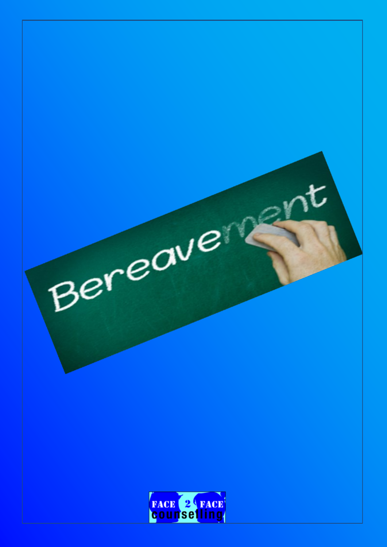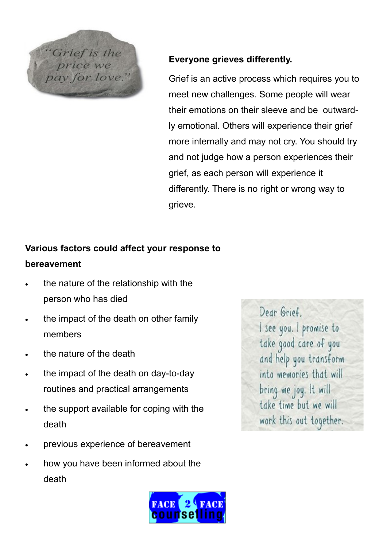

## **Everyone grieves differently.**

Grief is an active process which requires you to meet new challenges. Some people will wear their emotions on their sleeve and be outwardly emotional. Others will experience their grief more internally and may not cry. You should try and not judge how a person experiences their grief, as each person will experience it differently. There is no right or wrong way to grieve.

# **Various factors could affect your response to bereavement**

- the nature of the relationship with the person who has died
- the impact of the death on other family members
- the nature of the death
- the impact of the death on day-to-day routines and practical arrangements
- the support available for coping with the death
- previous experience of bereavement
- how you have been informed about the death



Dear Grief. I see you. I promise to take good care of you and help you transform into memories that will bring me joy. It will take time but we will work this out together.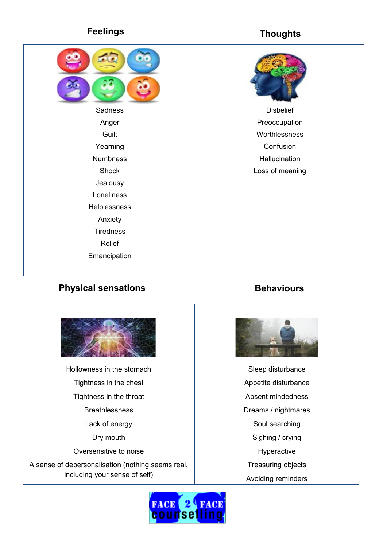# **Feelings Thoughts**



### **Physical sensations Behaviours**



Hollowness in the stomach Tightness in the chest Tightness in the throat Breathlessness Lack of energy Dry mouth Oversensitive to noise

A sense of depersonalisation (nothing seems real, including your sense of self)



Sleep disturbance

- Appetite disturbance
- Absent mindedness
- Dreams / nightmares
	- Soul searching
	- Sighing / crying
	- Hyperactive
	- Treasuring objects
- Avoiding reminders

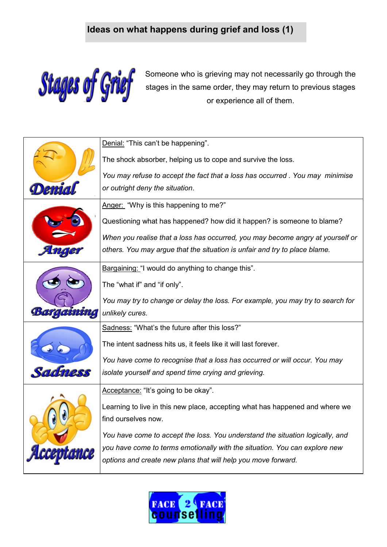# **Ideas on what happens during grief and loss (1)**



Someone who is grieving may not necessarily go through the stages in the same order, they may return to previous stages or experience all of them.

|            | Denial: "This can't be happening".                                              |
|------------|---------------------------------------------------------------------------------|
|            | The shock absorber, helping us to cope and survive the loss.                    |
|            | You may refuse to accept the fact that a loss has occurred . You may minimise   |
|            | or outright deny the situation.                                                 |
|            | Anger: "Why is this happening to me?"                                           |
|            | Questioning what has happened? how did it happen? is someone to blame?          |
|            | When you realise that a loss has occurred, you may become angry at yourself or  |
|            | others. You may argue that the situation is unfair and try to place blame.      |
|            | Bargaining: "I would do anything to change this".                               |
|            | The "what if" and "if only".                                                    |
|            | You may try to change or delay the loss. For example, you may try to search for |
| Bargaining | unlikely cures.                                                                 |
|            | Sadness: "What's the future after this loss?"                                   |
|            | The intent sadness hits us, it feels like it will last forever.                 |
|            | You have come to recognise that a loss has occurred or will occur. You may      |
|            | isolate yourself and spend time crying and grieving.                            |
|            | Acceptance: "It's going to be okay".                                            |
|            | Learning to live in this new place, accepting what has happened and where we    |
|            | find ourselves now.                                                             |
|            | You have come to accept the loss. You understand the situation logically, and   |
|            | you have come to terms emotionally with the situation. You can explore new      |
|            | options and create new plans that will help you move forward.                   |

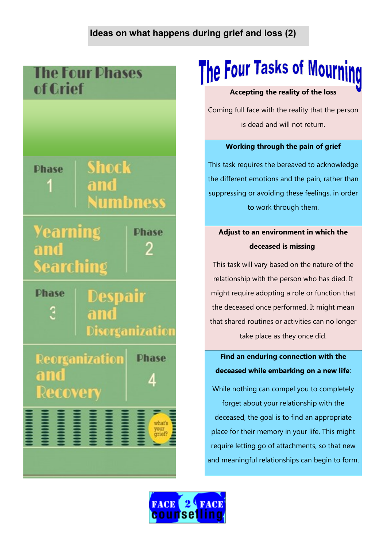## **Ideas on what happens during grief and loss (2)**

# **The Four Phases** of Crief

# **Shock Dhase** and **Numbness**

**Yearning** Searching



**Dhase** Despair Disorganization

**Reorganization Phase** and Recovery

# i<br>I what's<br>your<br>grief?

# The Four Tasks of Mourning

#### **Accepting the reality of the loss**

Coming full face with the reality that the person is dead and will not return.

#### **Working through the pain of grief**

This task requires the bereaved to acknowledge the different emotions and the pain, rather than suppressing or avoiding these feelings, in order to work through them.

# **Adjust to an environment in which the deceased is missing**

This task will vary based on the nature of the relationship with the person who has died. It might require adopting a role or function that the deceased once performed. It might mean that shared routines or activities can no longer take place as they once did.

## **Find an enduring connection with the deceased while embarking on a new life**:

While nothing can compel you to completely

forget about your relationship with the deceased, the goal is to find an appropriate place for their memory in your life. This might require letting go of attachments, so that new and meaningful relationships can begin to form.

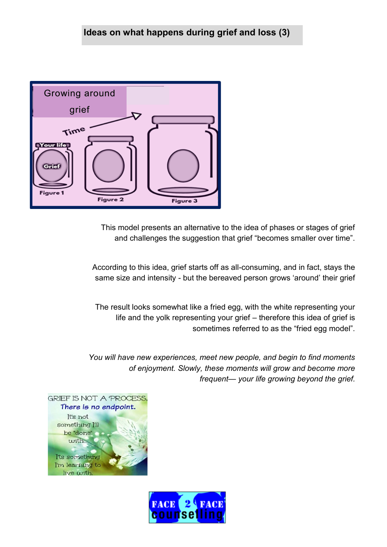

This model presents an alternative to the idea of phases or stages of grief and challenges the suggestion that grief "becomes smaller over time".

According to this idea, grief starts off as all-consuming, and in fact, stays the same size and intensity - but the bereaved person grows 'around' their grief

The result looks somewhat like a fried egg, with the white representing your life and the yolk representing your grief – therefore this idea of grief is sometimes referred to as the "fried egg model".

*You will have new experiences, meet new people, and begin to find moments of enjoyment. Slowly, these moments will grow and become more frequent— your life growing beyond the grief.*



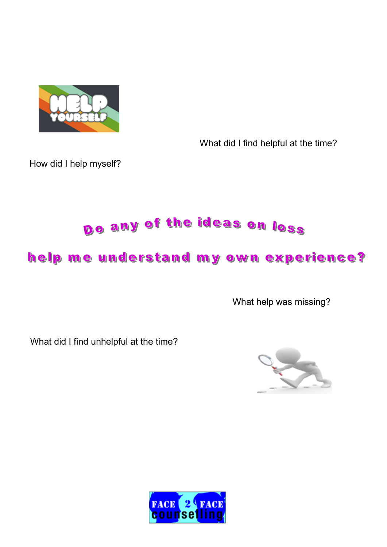

What did I find helpful at the time?

How did I help myself?

# Do any of the ideas on loss

# help me understand my own experience?

What help was missing?

What did I find unhelpful at the time?



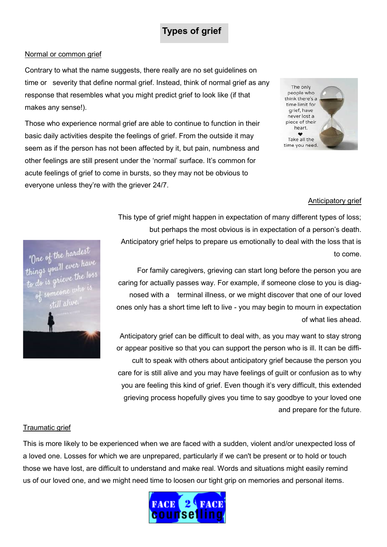# **Types of grief**

#### Normal or common grief

Contrary to what the name suggests, there really are no set guidelines on time or severity that define normal grief. Instead, think of normal grief as any response that resembles what you might predict grief to look like (if that makes any sense!).

Those who experience normal grief are able to continue to function in their basic daily activities despite the feelings of grief. From the outside it may seem as if the person has not been affected by it, but pain, numbness and other feelings are still present under the 'normal' surface. It's common for acute feelings of grief to come in bursts, so they may not be obvious to everyone unless they're with the griever 24/7.



#### Anticipatory grief

This type of grief might happen in expectation of many different types of loss; but perhaps the most obvious is in expectation of a person's death. Anticipatory grief helps to prepare us emotionally to deal with the loss that is to come.

For family caregivers, grieving can start long before the person you are caring for actually passes way. For example, if someone close to you is diagnosed with a terminal illness, or we might discover that one of our loved ones only has a short time left to live - you may begin to mourn in expectation of what lies ahead.

Anticipatory grief can be difficult to deal with, as you may want to stay strong or appear positive so that you can support the person who is ill. It can be difficult to speak with others about anticipatory grief because the person you care for is still alive and you may have feelings of guilt or confusion as to why you are feeling this kind of grief. Even though it's very difficult, this extended grieving process hopefully gives you time to say goodbye to your loved one and prepare for the future.

"One of the hardest<br>hings you'll ever have<br>hist arieve the loss

#### Traumatic grief

This is more likely to be experienced when we are faced with a sudden, violent and/or unexpected loss of a loved one. Losses for which we are unprepared, particularly if we can't be present or to hold or touch those we have lost, are difficult to understand and make real. Words and situations might easily remind us of our loved one, and we might need time to loosen our tight grip on memories and personal items.

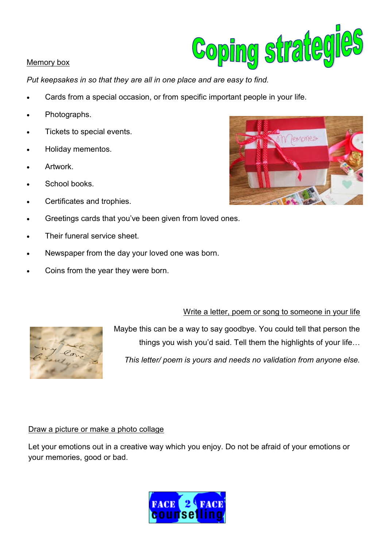# Coping strategies

#### Memory box

*Put keepsakes in so that they are all in one place and are easy to find.*

- Cards from a special occasion, or from specific important people in your life.
- Photographs.
- Tickets to special events.
- Holiday mementos.
- Artwork.
- School books.
- Certificates and trophies.
- Greetings cards that you've been given from loved ones.
- Their funeral service sheet.
- Newspaper from the day your loved one was born.
- Coins from the year they were born.

#### Write a letter, poem or song to someone in your life



Maybe this can be a way to say goodbye. You could tell that person the things you wish you'd said. Tell them the highlights of your life…

*This letter/ poem is yours and needs no validation from anyone else.* 

#### Draw a picture or make a photo collage

Let your emotions out in a creative way which you enjoy. Do not be afraid of your emotions or your memories, good or bad.



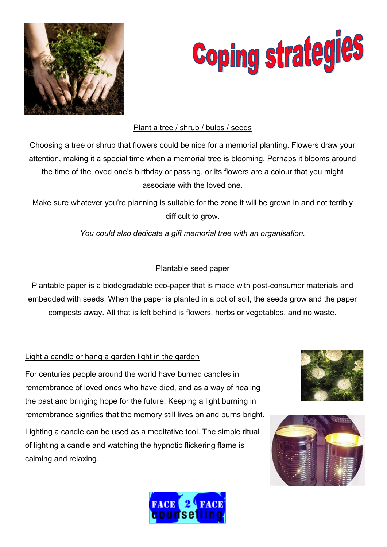



#### Plant a tree / shrub / bulbs / seeds

Choosing a tree or shrub that flowers could be nice for a memorial planting. Flowers draw your attention, making it a special time when a memorial tree is blooming. Perhaps it blooms around the time of the loved one's birthday or passing, or its flowers are a colour that you might associate with the loved one.

Make sure whatever you're planning is suitable for the zone it will be grown in and not terribly difficult to grow.

*You could also dedicate a gift memorial tree with an organisation.*

#### Plantable seed paper

Plantable paper is a biodegradable eco-paper that is made with post-consumer materials and embedded with seeds. When the paper is planted in a pot of soil, the seeds grow and the paper composts away. All that is left behind is flowers, herbs or vegetables, and no waste.

#### Light a candle or hang a garden light in the garden

For centuries people around the world have burned candles in remembrance of loved ones who have died, and as a way of healing the past and bringing hope for the future. Keeping a light burning in remembrance signifies that the memory still lives on and burns bright.

Lighting a candle can be used as a meditative tool. The simple ritual of lighting a candle and watching the hypnotic flickering flame is calming and relaxing.





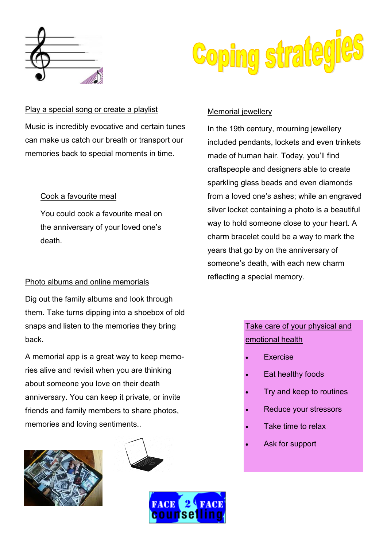



#### Play a special song or create a playlist

Music is incredibly evocative and certain tunes can make us catch our breath or transport our memories back to special moments in time.

#### Cook a favourite meal

You could cook a favourite meal on the anniversary of your loved one's death.

# reflecting a special memory. Photo albums and online memorials

Dig out the family albums and look through them. Take turns dipping into a shoebox of old snaps and listen to the memories they bring back.

A memorial app is a great way to keep memories alive and revisit when you are thinking about someone you love on their death anniversary. You can keep it private, or invite friends and family members to share photos, memories and loving sentiments..







#### Memorial jewellery

In the 19th century, mourning jewellery included pendants, lockets and even trinkets made of human hair. Today, you'll find craftspeople and designers able to create sparkling glass beads and even diamonds from a loved one's ashes; while an engraved silver locket containing a photo is a beautiful way to hold someone close to your heart. A charm bracelet could be a way to mark the years that go by on the anniversary of someone's death, with each new charm

## Take care of your physical and emotional health

- Exercise
- Eat healthy foods
- Try and keep to routines
- Reduce your stressors
- Take time to relax
- Ask for support